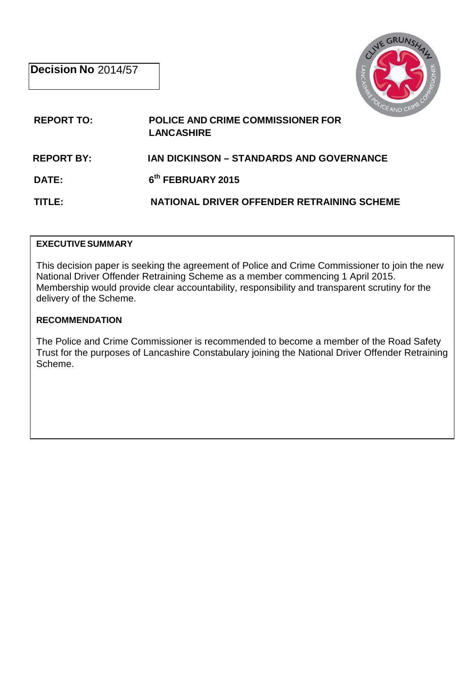

# **REPORT TO: POLICE AND CRIME COMMISSIONER FOR LANCASHIRE**

### **REPORT BY: IAN DICKINSON – STANDARDS AND GOVERNANCE**

**DATE: 6th FEBRUARY 2015** 

**TITLE: NATIONAL DRIVER OFFENDER RETRAINING SCHEME** 

#### **EXECUTIVESUMMARY**

This decision paper is seeking the agreement of Police and Crime Commissioner to join the new National Driver Offender Retraining Scheme as a member commencing 1 April 2015. Membership would provide clear accountability, responsibility and transparent scrutiny for the delivery of the Scheme.

### **RECOMMENDATION**

The Police and Crime Commissioner is recommended to become a member of the Road Safety Trust for the purposes of Lancashire Constabulary joining the National Driver Offender Retraining Scheme.